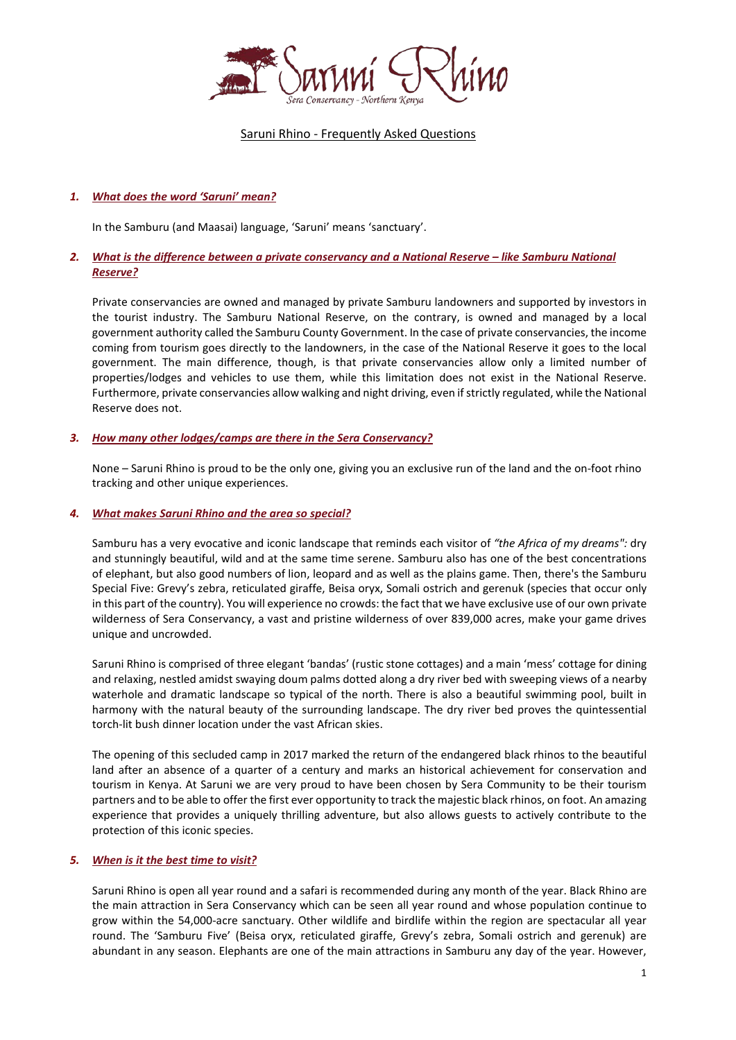

# Saruni Rhino - Frequently Asked Questions

# *1. What does the word 'Saruni' mean?*

In the Samburu (and Maasai) language, 'Saruni' means 'sanctuary'.

# *2. What is the difference between a private conservancy and a National Reserve – like Samburu National Reserve?*

Private conservancies are owned and managed by private Samburu landowners and supported by investors in the tourist industry. The Samburu National Reserve, on the contrary, is owned and managed by a local government authority called the Samburu County Government. In the case of private conservancies, the income coming from tourism goes directly to the landowners, in the case of the National Reserve it goes to the local government. The main difference, though, is that private conservancies allow only a limited number of properties/lodges and vehicles to use them, while this limitation does not exist in the National Reserve. Furthermore, private conservancies allow walking and night driving, even if strictly regulated, while the National Reserve does not.

# *3. How many other lodges/camps are there in the Sera Conservancy?*

None – Saruni Rhino is proud to be the only one, giving you an exclusive run of the land and the on-foot rhino tracking and other unique experiences.

# *4. What makes Saruni Rhino and the area so special?*

Samburu has a very evocative and iconic landscape that reminds each visitor of *"the Africa of my dreams":* dry and stunningly beautiful, wild and at the same time serene. Samburu also has one of the best concentrations of elephant, but also good numbers of lion, leopard and as well as the plains game. Then, there's the Samburu Special Five: Grevy's zebra, reticulated giraffe, Beisa oryx, Somali ostrich and gerenuk (species that occur only in this part of the country). You will experience no crowds: the fact that we have exclusive use of our own private wilderness of Sera Conservancy, a vast and pristine wilderness of over 839,000 acres, make your game drives unique and uncrowded.

Saruni Rhino is comprised of three elegant 'bandas' (rustic stone cottages) and a main 'mess' cottage for dining and relaxing, nestled amidst swaying doum palms dotted along a dry river bed with sweeping views of a nearby waterhole and dramatic landscape so typical of the north. There is also a beautiful swimming pool, built in harmony with the natural beauty of the surrounding landscape. The dry river bed proves the quintessential torch-lit bush dinner location under the vast African skies.

The opening of this secluded camp in 2017 marked the return of the endangered black rhinos to the beautiful land after an absence of a quarter of a century and marks an historical achievement for conservation and tourism in Kenya. At Saruni we are very proud to have been chosen by Sera Community to be their tourism partners and to be able to offer the first ever opportunity to track the majestic black rhinos, on foot. An amazing experience that provides a uniquely thrilling adventure, but also allows guests to actively contribute to the protection of this iconic species.

# *5. [When](http://www.sarunimara.com/questions/2.htm) is it the best time to visit?*

Saruni Rhino is open all year round and a safari is recommended during any month of the year. Black Rhino are the main attraction in Sera Conservancy which can be seen all year round and whose population continue to grow within the 54,000-acre sanctuary. Other wildlife and birdlife within the region are spectacular all year round. The 'Samburu Five' (Beisa oryx, reticulated giraffe, Grevy's zebra, Somali ostrich and gerenuk) are abundant in any season. Elephants are one of the main attractions in Samburu any day of the year. However,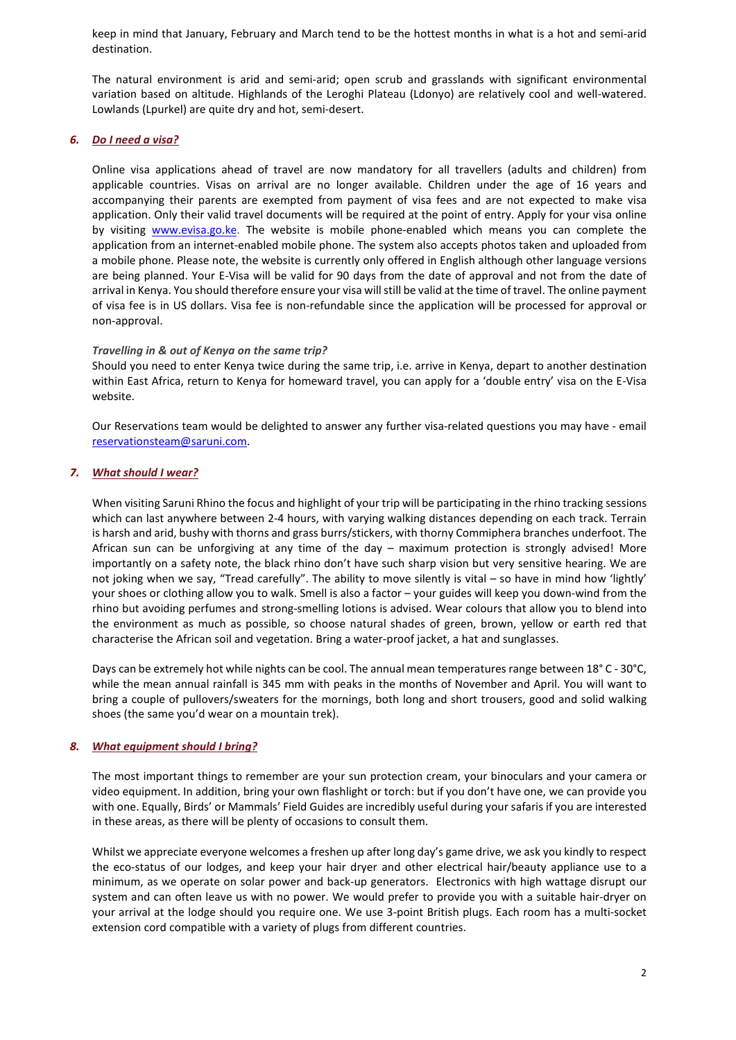keep in mind that January, February and March tend to be the hottest months in what is a hot and semi-arid destination.

The natural environment is arid and semi-arid; open scrub and grasslands with significant environmental variation based on altitude. Highlands of the Leroghi Plateau (Ldonyo) are relatively cool and well-watered. Lowlands (Lpurkel) are quite dry and hot, semi-desert.

# *6. Do I need a visa?*

Online visa applications ahead of travel are now mandatory for all travellers (adults and children) from applicable countries. Visas on arrival are no longer available. Children under the age of 16 years and accompanying their parents are exempted from payment of visa fees and are not expected to make visa application. Only their valid travel documents will be required at the point of entry. Apply for your visa online by visiting [www.evisa.go.ke.](http://www.evisa.go.ke/) The website is mobile phone-enabled which means you can complete the application from an internet-enabled mobile phone. The system also accepts photos taken and uploaded from a mobile phone. Please note, the website is currently only offered in English although other language versions are being planned. Your E-Visa will be valid for 90 days from the date of approval and not from the date of arrival in Kenya. You should therefore ensure your visa will still be valid at the time of travel. The online payment of visa fee is in US dollars. Visa fee is non-refundable since the application will be processed for approval or non-approval.

### *Travelling in & out of Kenya on the same trip?*

Should you need to enter Kenya twice during the same trip, i.e. arrive in Kenya, depart to another destination within East Africa, return to Kenya for homeward travel, you can apply for a 'double entry' visa on the E-Visa website.

Our Reservations team would be delighted to answer any further visa-related questions you may have - email [reservationsteam@saruni.com.](mailto:reservationsteam@saruni.com)

### *7. What [should](http://www.sarunimara.com/questions/3.htm) I wear?*

When visiting Saruni Rhino the focus and highlight of your trip will be participating in the rhino tracking sessions which can last anywhere between 2-4 hours, with varying walking distances depending on each track. Terrain is harsh and arid, bushy with thorns and grass burrs/stickers, with thorny Commiphera branches underfoot. The African sun can be unforgiving at any time of the day – maximum protection is strongly advised! More importantly on a safety note, the black rhino don't have such sharp vision but very sensitive hearing. We are not joking when we say, "Tread carefully". The ability to move silently is vital – so have in mind how 'lightly' your shoes or clothing allow you to walk. Smell is also a factor – your guides will keep you down-wind from the rhino but avoiding perfumes and strong-smelling lotions is advised. Wear colours that allow you to blend into the environment as much as possible, so choose natural shades of green, brown, yellow or earth red that characterise the African soil and vegetation. Bring a water-proof jacket, a hat and sunglasses.

Days can be extremely hot while nights can be cool. The annual mean temperatures range between 18° C - 30°C, while the mean annual rainfall is 345 mm with peaks in the months of November and April. You will want to bring a couple of pullovers/sweaters for the mornings, both long and short trousers, good and solid walking shoes (the same you'd wear on a mountain trek).

### *8. What [equipment](http://www.sarunimara.com/questions/4.htm) should I bring?*

The most important things to remember are your sun protection cream, your binoculars and your camera or video equipment. In addition, bring your own flashlight or torch: but if you don't have one, we can provide you with one. Equally, Birds' or Mammals' Field Guides are incredibly useful during your safaris if you are interested in these areas, as there will be plenty of occasions to consult them.

Whilst we appreciate everyone welcomes a freshen up after long day's game drive, we ask you kindly to respect the eco-status of our lodges, and keep your hair dryer and other electrical hair/beauty appliance use to a minimum, as we operate on solar power and back-up generators. Electronics with high wattage disrupt our system and can often leave us with no power. We would prefer to provide you with a suitable hair-dryer on your arrival at the lodge should you require one. We use 3-point British plugs. Each room has a multi-socket extension cord compatible with a variety of plugs from different countries.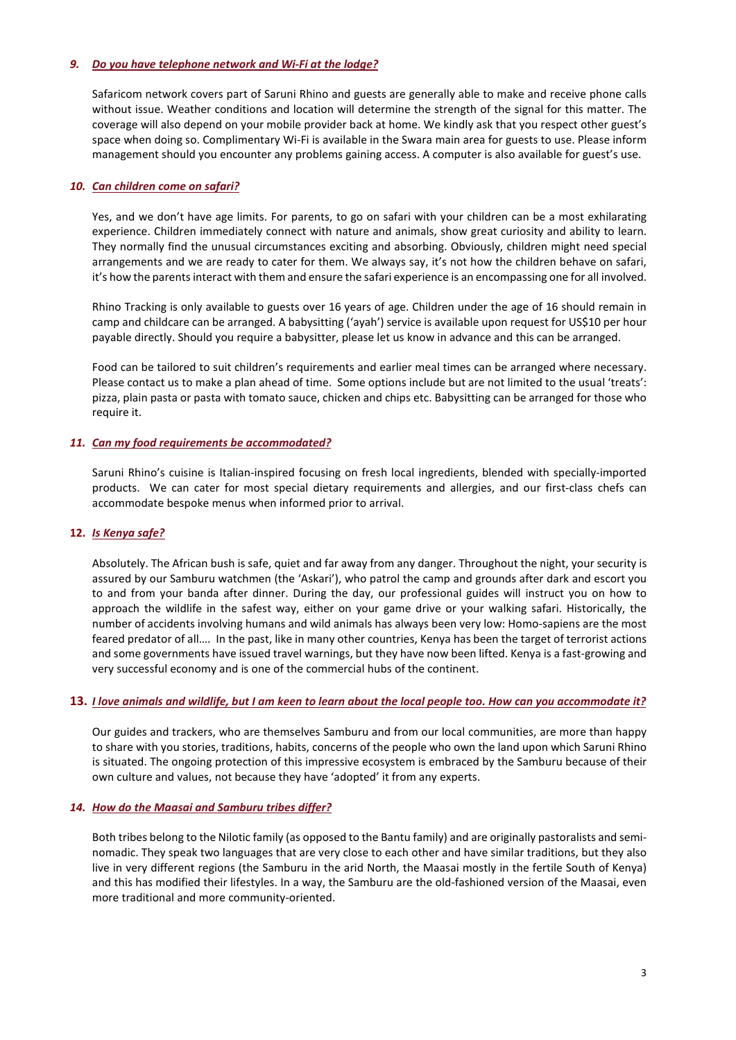# *9. Do you have telephone network and Wi-Fi at the lodge?*

Safaricom network covers part of Saruni Rhino and guests are generally able to make and receive phone calls without issue. Weather conditions and location will determine the strength of the signal for this matter. The coverage will also depend on your mobile provider back at home. We kindly ask that you respect other guest's space when doing so. Complimentary Wi-Fi is available in the Swara main area for guests to use. Please inform management should you encounter any problems gaining access. A computer is also available for guest's use.

### *10. Can [children](http://www.sarunimara.com/questions/6.htm) come on safari?*

Yes, and we don't have age limits. For parents, to go on safari with your children can be a most exhilarating experience. Children immediately connect with nature and animals, show great curiosity and ability to learn. They normally find the unusual circumstances exciting and absorbing. Obviously, children might need special arrangements and we are ready to cater for them. We always say, it's not how the children behave on safari, it's how the parents interact with them and ensure the safari experience is an encompassing one for all involved.

Rhino Tracking is only available to guests over 16 years of age. Children under the age of 16 should remain in camp and childcare can be arranged. A babysitting ('ayah') service is available upon request for US\$10 per hour payable directly. Should you require a babysitter, please let us know in advance and this can be arranged.

Food can be tailored to suit children's requirements and earlier meal times can be arranged where necessary. Please contact us to make a plan ahead of time. Some options include but are not limited to the usual 'treats': pizza, plain pasta or pasta with tomato sauce, chicken and chips etc. Babysitting can be arranged for those who require it.

### *11. Can my food requirements be [accommodated?](http://www.sarunimara.com/questions/7.htm)*

Saruni Rhino's cuisine is Italian-inspired focusing on fresh local ingredients, blended with specially-imported products. We can cater for most special dietary requirements and allergies, and our first-class chefs can accommodate bespoke menus when informed prior to arrival.

# **12.** *Is [Kenya](http://www.sarunimara.com/questions/1.htm) safe?*

Absolutely. The African bush is safe, quiet and far away from any danger. Throughout the night, your security is assured by our Samburu watchmen (the 'Askari'), who patrol the camp and grounds after dark and escort you to and from your banda after dinner. During the day, our professional guides will instruct you on how to approach the wildlife in the safest way, either on your game drive or your walking safari. Historically, the number of accidents involving humans and wild animals has always been very low: Homo-sapiens are the most feared predator of all…. In the past, like in many other countries, Kenya has been the target of terrorist actions and some governments have issued travel warnings, but they have now been lifted. Kenya is a fast-growing and very successful economy and is one of the commercial hubs of the continent.

### 13. I love animals and wildlife, but I am keen to learn about the local people too. How can you accommodate it?

Our guides and trackers, who are themselves Samburu and from our local communities, are more than happy to share with you stories, traditions, habits, concerns of the people who own the land upon which Saruni Rhino is situated. The ongoing protection of this impressive ecosystem is embraced by the Samburu because of their own culture and values, not because they have 'adopted' it from any experts.

### *14. How do the Maasai and Samburu tribes differ?*

Both tribes belong to the Nilotic family (as opposed to the Bantu family) and are originally pastoralists and seminomadic. They speak two languages that are very close to each other and have similar traditions, but they also live in very different regions (the Samburu in the arid North, the Maasai mostly in the fertile South of Kenya) and this has modified their lifestyles. In a way, the Samburu are the old-fashioned version of the Maasai, even more traditional and more community-oriented.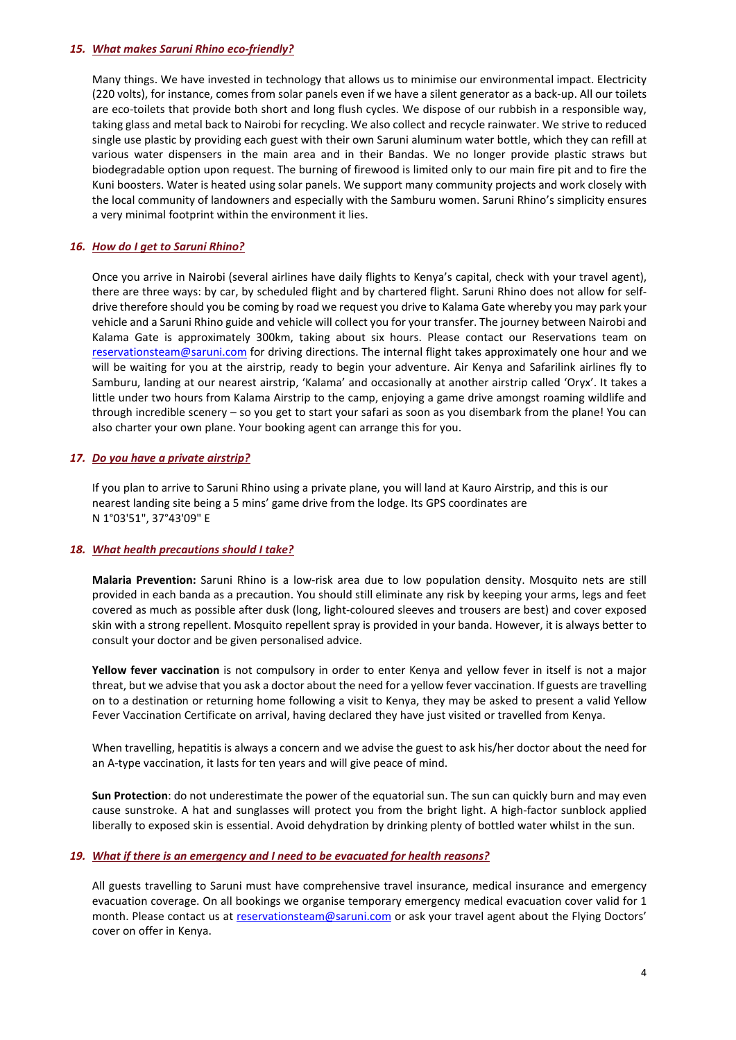### *15. What makes Saruni Rhino [eco-friendly?](http://www.sarunimara.com/questions/9.htm)*

Many things. We have invested in technology that allows us to minimise our environmental impact. Electricity (220 volts), for instance, comes from solar panels even if we have a silent generator as a back-up. All our toilets are eco-toilets that provide both short and long flush cycles. We dispose of our rubbish in a responsible way, taking glass and metal back to Nairobi for recycling. We also collect and recycle rainwater. We strive to reduced single use plastic by providing each guest with their own Saruni aluminum water bottle, which they can refill at various water dispensers in the main area and in their Bandas. We no longer provide plastic straws but biodegradable option upon request. The burning of firewood is limited only to our main fire pit and to fire the Kuni boosters. Water is heated using solar panels. We support many community projects and work closely with the local community of landowners and especially with the Samburu women. Saruni Rhino's simplicity ensures a very minimal footprint within the environment it lies.

## *16. How do I get to Saruni Rhino?*

Once you arrive in Nairobi (several airlines have daily flights to Kenya's capital, check with your travel agent), there are three ways: by car, by scheduled flight and by chartered flight. Saruni Rhino does not allow for selfdrive therefore should you be coming by road we request you drive to Kalama Gate whereby you may park your vehicle and a Saruni Rhino guide and vehicle will collect you for your transfer. The journey between Nairobi and Kalama Gate is approximately 300km, taking about six hours. Please contact our Reservations team on [reservationsteam@saruni.com](mailto:reservationsteam@saruni.com) for driving directions. The internal flight takes approximately one hour and we will be waiting for you at the airstrip, ready to begin your adventure. Air Kenya and Safarilink airlines fly to Samburu, landing at our nearest airstrip, 'Kalama' and occasionally at another airstrip called 'Oryx'. It takes a little under two hours from Kalama Airstrip to the camp, enjoying a game drive amongst roaming wildlife and through incredible scenery – so you get to start your safari as soon as you disembark from the plane! You can also charter your own plane. Your booking agent can arrange this for you.

# *17. Do you have a private [airstrip?](http://www.sarunimara.com/questions/11.htm)*

If you plan to arrive to Saruni Rhino using a private plane, you will land at Kauro Airstrip, and this is our nearest landing site being a 5 mins' game drive from the lodge. Its GPS coordinates are N 1°03'51", 37°43'09" E

### *18. What health [precautions](http://www.sarunimara.com/questions/12.htm) should I take?*

**Malaria Prevention:** Saruni Rhino is a low-risk area due to low population density. Mosquito nets are still provided in each banda as a precaution. You should still eliminate any risk by keeping your arms, legs and feet covered as much as possible after dusk (long, light-coloured sleeves and trousers are best) and cover exposed skin with a strong repellent. Mosquito repellent spray is provided in your banda. However, it is always better to consult your doctor and be given personalised advice.

**Yellow fever vaccination** is not compulsory in order to enter Kenya and yellow fever in itself is not a major threat, but we advise that you ask a doctor about the need for a yellow fever vaccination. If guests are travelling on to a destination or returning home following a visit to Kenya, they may be asked to present a valid Yellow Fever Vaccination Certificate on arrival, having declared they have just visited or travelled from Kenya.

When travelling, hepatitis is always a concern and we advise the guest to ask his/her doctor about the need for an A-type vaccination, it lasts for ten years and will give peace of mind.

**Sun Protection**: do not underestimate the power of the equatorial sun. The sun can quickly burn and may even cause sunstroke. A hat and sunglasses will protect you from the bright light. A high-factor sunblock applied liberally to exposed skin is essential. Avoid dehydration by drinking plenty of bottled water whilst in the sun.

### *19. What if there is an [emergency](http://www.sarunimara.com/questions/14.htm) and I need to be evacuated for health reasons?*

All guests travelling to Saruni must have comprehensive travel insurance, medical insurance and emergency evacuation coverage. On all bookings we organise temporary emergency medical evacuation cover valid for 1 month. Please contact us at [reservationsteam@saruni.com](mailto:reservationsteam@saruni.com) or ask your travel agent about the Flying Doctors' cover on offer in Kenya.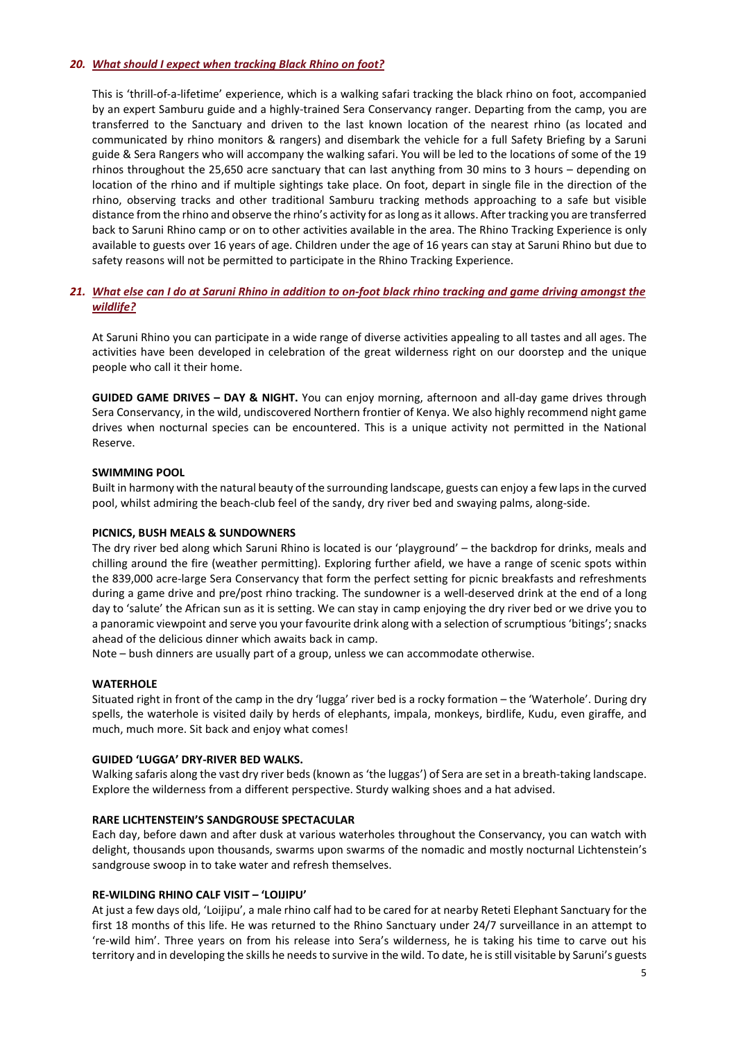## *20. What should I expect when [tracking](http://www.sarunimara.com/questions/14.htm) Black Rhino on foot?*

This is 'thrill-of-a-lifetime' experience, which is a walking safari tracking the black rhino on foot, accompanied by an expert Samburu guide and a highly-trained Sera Conservancy ranger. Departing from the camp, you are transferred to the Sanctuary and driven to the last known location of the nearest rhino (as located and communicated by rhino monitors & rangers) and disembark the vehicle for a full Safety Briefing by a Saruni guide & Sera Rangers who will accompany the walking safari. You will be led to the locations of some of the 19 rhinos throughout the 25,650 acre sanctuary that can last anything from 30 mins to 3 hours – depending on location of the rhino and if multiple sightings take place. On foot, depart in single file in the direction of the rhino, observing tracks and other traditional Samburu tracking methods approaching to a safe but visible distance from the rhino and observe the rhino's activity for as long as it allows. After tracking you are transferred back to Saruni Rhino camp or on to other activities available in the area. The Rhino Tracking Experience is only available to guests over 16 years of age. Children under the age of 16 years can stay at Saruni Rhino but due to safety reasons will not be permitted to participate in the Rhino Tracking Experience.

# 21. What else can I do at Saruni Rhino in addition to on-foot black rhino tracking and game driving amongst the *wildlife?*

At Saruni Rhino you can participate in a wide range of diverse activities appealing to all tastes and all ages. The activities have been developed in celebration of the great wilderness right on our doorstep and the unique people who call it their home.

**GUIDED GAME DRIVES – DAY & NIGHT.** You can enjoy morning, afternoon and all-day game drives through Sera Conservancy, in the wild, undiscovered Northern frontier of Kenya. We also highly recommend night game drives when nocturnal species can be encountered. This is a unique activity not permitted in the National Reserve.

### **SWIMMING POOL**

Built in harmony with the natural beauty of the surrounding landscape, guests can enjoy a few laps in the curved pool, whilst admiring the beach-club feel of the sandy, dry river bed and swaying palms, along-side.

# **PICNICS, BUSH MEALS & SUNDOWNERS**

The dry river bed along which Saruni Rhino is located is our 'playground' – the backdrop for drinks, meals and chilling around the fire (weather permitting). Exploring further afield, we have a range of scenic spots within the 839,000 acre-large Sera Conservancy that form the perfect setting for picnic breakfasts and refreshments during a game drive and pre/post rhino tracking. The sundowner is a well-deserved drink at the end of a long day to 'salute' the African sun as it is setting. We can stay in camp enjoying the dry river bed or we drive you to a panoramic viewpoint and serve you your favourite drink along with a selection of scrumptious 'bitings'; snacks ahead of the delicious dinner which awaits back in camp.

Note – bush dinners are usually part of a group, unless we can accommodate otherwise.

### **WATERHOLE**

Situated right in front of the camp in the dry 'lugga' river bed is a rocky formation – the 'Waterhole'. During dry spells, the waterhole is visited daily by herds of elephants, impala, monkeys, birdlife, Kudu, even giraffe, and much, much more. Sit back and enjoy what comes!

# **GUIDED 'LUGGA' DRY-RIVER BED WALKS.**

Walking safaris along the vast dry river beds (known as 'the luggas') of Sera are set in a breath-taking landscape. Explore the wilderness from a different perspective. Sturdy walking shoes and a hat advised.

### **RARE LICHTENSTEIN'S SANDGROUSE SPECTACULAR**

Each day, before dawn and after dusk at various waterholes throughout the Conservancy, you can watch with delight, thousands upon thousands, swarms upon swarms of the nomadic and mostly nocturnal Lichtenstein's sandgrouse swoop in to take water and refresh themselves.

### **RE-WILDING RHINO CALF VISIT – 'LOIJIPU'**

At just a few days old, 'Loijipu', a male rhino calf had to be cared for at nearby Reteti Elephant Sanctuary for the first 18 months of this life. He was returned to the Rhino Sanctuary under 24/7 surveillance in an attempt to 're-wild him'. Three years on from his release into Sera's wilderness, he is taking his time to carve out his territory and in developing the skills he needs to survive in the wild. To date, he is still visitable by Saruni's guests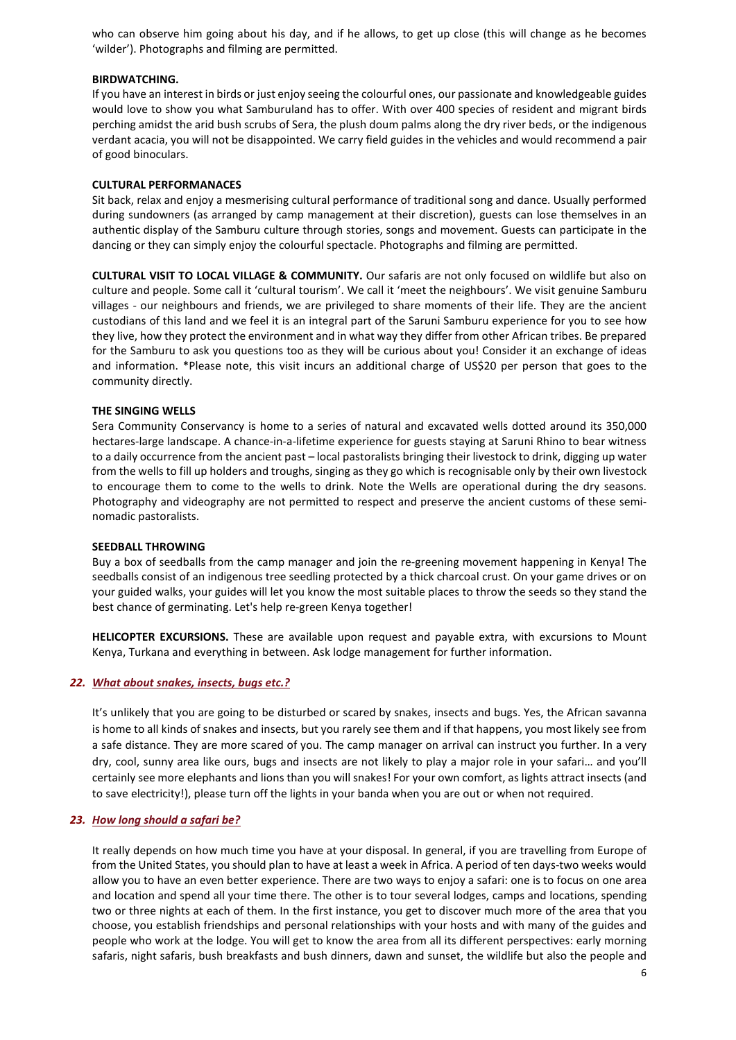who can observe him going about his day, and if he allows, to get up close (this will change as he becomes 'wilder'). Photographs and filming are permitted.

### **BIRDWATCHING.**

If you have an interest in birds or just enjoy seeing the colourful ones, our passionate and knowledgeable guides would love to show you what Samburuland has to offer. With over 400 species of resident and migrant birds perching amidst the arid bush scrubs of Sera, the plush doum palms along the dry river beds, or the indigenous verdant acacia, you will not be disappointed. We carry field guides in the vehicles and would recommend a pair of good binoculars.

## **CULTURAL PERFORMANACES**

Sit back, relax and enjoy a mesmerising cultural performance of traditional song and dance. Usually performed during sundowners (as arranged by camp management at their discretion), guests can lose themselves in an authentic display of the Samburu culture through stories, songs and movement. Guests can participate in the dancing or they can simply enjoy the colourful spectacle. Photographs and filming are permitted.

**CULTURAL VISIT TO LOCAL VILLAGE & COMMUNITY.** Our safaris are not only focused on wildlife but also on culture and people. Some call it 'cultural tourism'. We call it 'meet the neighbours'. We visit genuine Samburu villages - our neighbours and friends, we are privileged to share moments of their life. They are the ancient custodians of this land and we feel it is an integral part of the Saruni Samburu experience for you to see how they live, how they protect the environment and in what way they differ from other African tribes. Be prepared for the Samburu to ask you questions too as they will be curious about you! Consider it an exchange of ideas and information. \*Please note, this visit incurs an additional charge of US\$20 per person that goes to the community directly.

### **THE SINGING WELLS**

Sera Community Conservancy is home to a series of natural and excavated wells dotted around its 350,000 hectares-large landscape. A chance-in-a-lifetime experience for guests staying at Saruni Rhino to bear witness to a daily occurrence from the ancient past – local pastoralists bringing their livestock to drink, digging up water from the wells to fill up holders and troughs, singing as they go which is recognisable only by their own livestock to encourage them to come to the wells to drink. Note the Wells are operational during the dry seasons. Photography and videography are not permitted to respect and preserve the ancient customs of these seminomadic pastoralists.

### **SEEDBALL THROWING**

Buy a box of seedballs from the camp manager and join the re-greening movement happening in Kenya! The seedballs consist of an indigenous tree seedling protected by a thick charcoal crust. On your game drives or on your guided walks, your guides will let you know the most suitable places to throw the seeds so they stand the best chance of germinating. Let's help re-green Kenya together!

**HELICOPTER EXCURSIONS.** These are available upon request and payable extra, with excursions to Mount Kenya, Turkana and everything in between. Ask lodge management for further information.

### *22. What about [snakes,](http://www.sarunimara.com/questions/13.htm) insects, bugs etc.?*

It's unlikely that you are going to be disturbed or scared by snakes, insects and bugs. Yes, the African savanna is home to all kinds of snakes and insects, but you rarely see them and if that happens, you most likely see from a safe distance. They are more scared of you. The camp manager on arrival can instruct you further. In a very dry, cool, sunny area like ours, bugs and insects are not likely to play a major role in your safari… and you'll certainly see more elephants and lions than you will snakes! For your own comfort, as lights attract insects (and to save electricity!), please turn off the lights in your banda when you are out or when not required.

# *23. How long [should](http://www.sarunimara.com/questions/15.htm) a safari be?*

It really depends on how much time you have at your disposal. In general, if you are travelling from Europe of from the United States, you should plan to have at least a week in Africa. A period of ten days-two weeks would allow you to have an even better experience. There are two ways to enjoy a safari: one is to focus on one area and location and spend all your time there. The other is to tour several lodges, camps and locations, spending two or three nights at each of them. In the first instance, you get to discover much more of the area that you choose, you establish friendships and personal relationships with your hosts and with many of the guides and people who work at the lodge. You will get to know the area from all its different perspectives: early morning safaris, night safaris, bush breakfasts and bush dinners, dawn and sunset, the wildlife but also the people and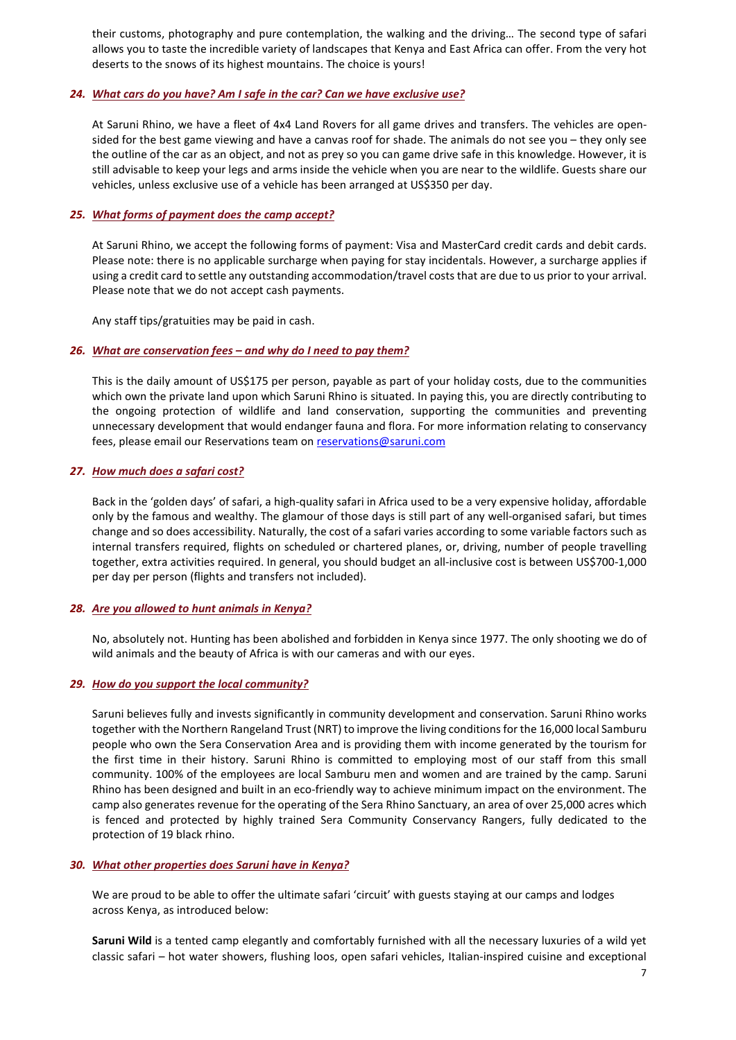their customs, photography and pure contemplation, the walking and the driving… The second type of safari allows you to taste the incredible variety of landscapes that Kenya and East Africa can offer. From the very hot deserts to the snows of its highest mountains. The choice is yours!

## *24. What cars do you have? Am I safe in the car? Can we have exclusive use?*

At Saruni Rhino, we have a fleet of 4x4 Land Rovers for all game drives and transfers. The vehicles are opensided for the best game viewing and have a canvas roof for shade. The animals do not see you – they only see the outline of the car as an object, and not as prey so you can game drive safe in this knowledge. However, it is still advisable to keep your legs and arms inside the vehicle when you are near to the wildlife. Guests share our vehicles, unless exclusive use of a vehicle has been arranged at US\$350 per day.

## *25. What forms of payment does the camp accept?*

At Saruni Rhino, we accept the following forms of payment: Visa and MasterCard credit cards and debit cards. Please note: there is no applicable surcharge when paying for stay incidentals. However, a surcharge applies if using a credit card to settle any outstanding accommodation/travel costs that are due to us prior to your arrival. Please note that we do not accept cash payments.

Any staff tips/gratuities may be paid in cash.

### *26. What are conservation fees – and why do I need to pay them?*

This is the daily amount of US\$175 per person, payable as part of your holiday costs, due to the communities which own the private land upon which Saruni Rhino is situated. In paying this, you are directly contributing to the ongoing protection of wildlife and land conservation, supporting the communities and preventing unnecessary development that would endanger fauna and flora. For more information relating to conservancy fees, please email our Reservations team on [reservations@saruni.com](mailto:reservations@saruni.com)

# *27. How much does a [safari](http://www.sarunimara.com/questions/17.htm) cost?*

Back in the 'golden days' of safari, a high-quality safari in Africa used to be a very expensive holiday, affordable only by the famous and wealthy. The glamour of those days is still part of any well-organised safari, but times change and so does accessibility. Naturally, the cost of a safari varies according to some variable factors such as internal transfers required, flights on scheduled or chartered planes, or, driving, number of people travelling together, extra activities required. In general, you should budget an all-inclusive cost is between US\$700-1,000 per day per person (flights and transfers not included).

### *28. Are you [allowed](http://www.sarunimara.com/questions/18.htm) to hunt animals in Kenya?*

No, absolutely not. Hunting has been abolished and forbidden in Kenya since 1977. The only shooting we do of wild animals and the beauty of Africa is with our cameras and with our eyes.

### *29. How do you support the local community?*

Saruni believes fully and invests significantly in community development and conservation. Saruni Rhino works together with the Northern Rangeland Trust (NRT) to improve the living conditions for the 16,000 local Samburu people who own the Sera Conservation Area and is providing them with income generated by the tourism for the first time in their history. Saruni Rhino is committed to employing most of our staff from this small community. 100% of the employees are local Samburu men and women and are trained by the camp. Saruni Rhino has been designed and built in an eco-friendly way to achieve minimum impact on the environment. The camp also generates revenue for the operating of the Sera Rhino Sanctuary, an area of over 25,000 acres which is fenced and protected by highly trained Sera Community Conservancy Rangers, fully dedicated to the protection of 19 black rhino.

### *30. What other properties does Saruni have in Kenya?*

We are proud to be able to offer the ultimate safari 'circuit' with guests staying at our camps and lodges across Kenya, as introduced below:

**Saruni Wild** is a tented camp elegantly and comfortably furnished with all the necessary luxuries of a wild yet classic safari – hot water showers, flushing loos, open safari vehicles, Italian-inspired cuisine and exceptional